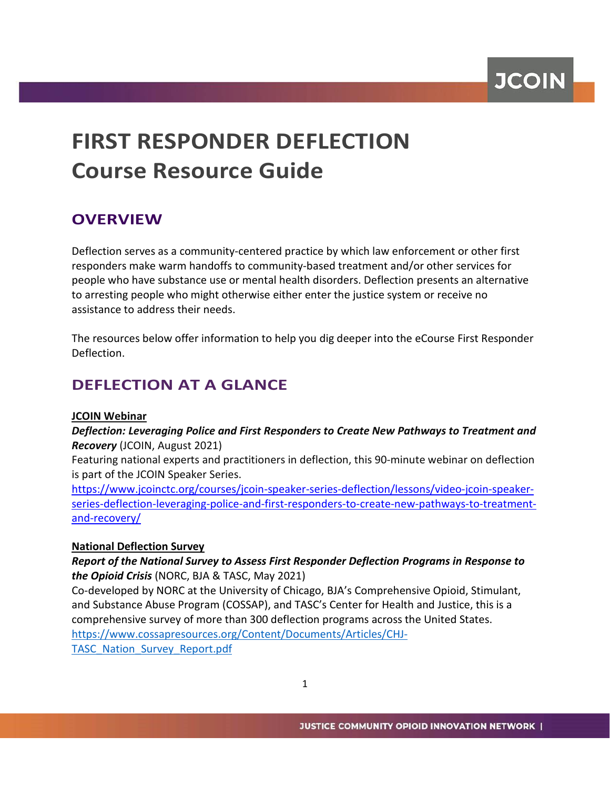**JCOIN** 

# **FIRST RESPONDER DEFLECTION Course Resource Guide**

# **OVERVIEW**

Deflection serves as a community-centered practice by which law enforcement or other first responders make warm handoffs to community-based treatment and/or other services for people who have substance use or mental health disorders. Deflection presents an alternative to arresting people who might otherwise either enter the justice system or receive no assistance to address their needs.

The resources below offer information to help you dig deeper into the eCourse First Responder Deflection.

# **DEFLECTION AT A GLANCE**

#### **JCOIN Webinar**

*Deflection: Leveraging Police and First Responders to Create New Pathways to Treatment and Recovery* (JCOIN, August 2021)

Featuring national experts and practitioners in deflection, this 90-minute webinar on deflection is part of the JCOIN Speaker Series.

[https://www.jcoinctc.org/courses/jcoin-speaker-series-deflection/lessons/video-jcoin-speaker](https://www.jcoinctc.org/courses/jcoin-speaker-series-deflection/lessons/video-jcoin-speaker-series-deflection-leveraging-police-and-first-responders-to-create-new-pathways-to-treatment-and-recovery/)[series-deflection-leveraging-police-and-first-responders-to-create-new-pathways-to-treatment](https://www.jcoinctc.org/courses/jcoin-speaker-series-deflection/lessons/video-jcoin-speaker-series-deflection-leveraging-police-and-first-responders-to-create-new-pathways-to-treatment-and-recovery/)[and-recovery/](https://www.jcoinctc.org/courses/jcoin-speaker-series-deflection/lessons/video-jcoin-speaker-series-deflection-leveraging-police-and-first-responders-to-create-new-pathways-to-treatment-and-recovery/)

### **National Deflection Survey**

### *Report of the National Survey to Assess First Responder Deflection Programs in Response to the Opioid Crisis* (NORC, BJA & TASC, May 2021)

Co-developed by NORC at the University of Chicago, BJA's Comprehensive Opioid, Stimulant, and Substance Abuse Program (COSSAP), and TASC's Center for Health and Justice, this is a comprehensive survey of more than 300 deflection programs across the United States. [https://www.cossapresources.org/Content/Documents/Articles/CHJ-](https://www.cossapresources.org/Content/Documents/Articles/CHJ-TASC_Nation_Survey_Report.pdf)[TASC\\_Nation\\_Survey\\_Report.pdf](https://www.cossapresources.org/Content/Documents/Articles/CHJ-TASC_Nation_Survey_Report.pdf)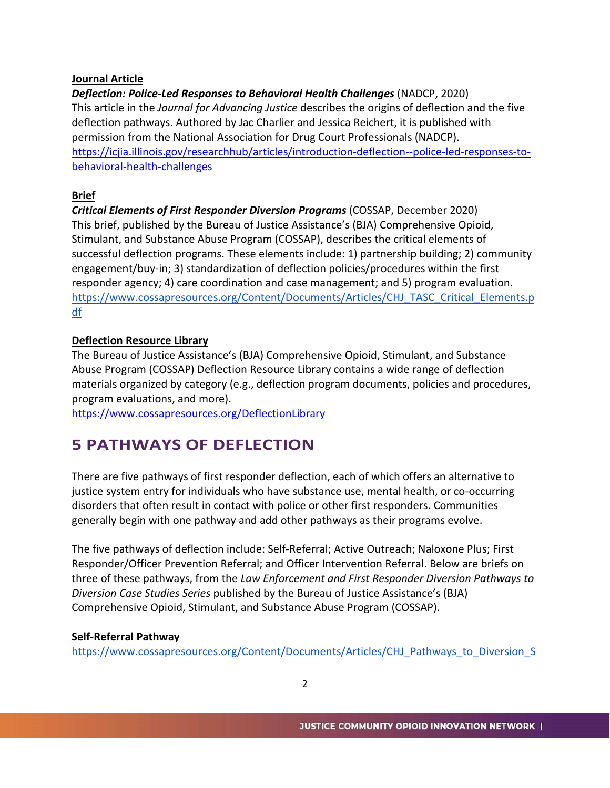#### **Journal Article**

*Deflection: Police-Led Responses to Behavioral Health Challenges* (NADCP, 2020) This article in the *Journal for Advancing Justice* describes the origins of deflection and the five deflection pathways. Authored by Jac Charlier and Jessica Reichert, it is published with permission from the National Association for Drug Court Professionals (NADCP). [https://icjia.illinois.gov/researchhub/articles/introduction-deflection--police-led-responses-to](https://icjia.illinois.gov/researchhub/articles/introduction-deflection--police-led-responses-to-behavioral-health-challenges)[behavioral-health-challenges](https://icjia.illinois.gov/researchhub/articles/introduction-deflection--police-led-responses-to-behavioral-health-challenges)

### **Brief**

*Critical Elements of First Responder Diversion Programs* (COSSAP, December 2020) This brief, published by the Bureau of Justice Assistance's (BJA) Comprehensive Opioid, Stimulant, and Substance Abuse Program (COSSAP), describes the critical elements of successful deflection programs. These elements include: 1) partnership building; 2) community engagement/buy-in; 3) standardization of deflection policies/procedures within the first responder agency; 4) care coordination and case management; and 5) program evaluation. [https://www.cossapresources.org/Content/Documents/Articles/CHJ\\_TASC\\_Critical\\_Elements.p](https://www.cossapresources.org/Content/Documents/Articles/CHJ_TASC_Critical_Elements.pdf) [df](https://www.cossapresources.org/Content/Documents/Articles/CHJ_TASC_Critical_Elements.pdf)

## **Deflection Resource Library**

The Bureau of Justice Assistance's (BJA) Comprehensive Opioid, Stimulant, and Substance Abuse Program (COSSAP) Deflection Resource Library contains a wide range of deflection materials organized by category (e.g., deflection program documents, policies and procedures, program evaluations, and more).

<https://www.cossapresources.org/DeflectionLibrary>

# **5 PATHWAYS OF DEFLECTION**

There are five pathways of first responder deflection, each of which offers an alternative to justice system entry for individuals who have substance use, mental health, or co-occurring disorders that often result in contact with police or other first responders. Communities generally begin with one pathway and add other pathways as their programs evolve.

The five pathways of deflection include: Self-Referral; Active Outreach; Naloxone Plus; First Responder/Officer Prevention Referral; and Officer Intervention Referral. Below are briefs on three of these pathways, from the *Law Enforcement and First Responder Diversion Pathways to Diversion Case Studies Series* published by the Bureau of Justice Assistance's (BJA) Comprehensive Opioid, Stimulant, and Substance Abuse Program (COSSAP).

### **Self-Referral Pathway**

[https://www.cossapresources.org/Content/Documents/Articles/CHJ\\_Pathways\\_to\\_Diversion\\_S](https://www.cossapresources.org/Content/Documents/Articles/CHJ_Pathways_to_Diversion_Self-Referral.pdf)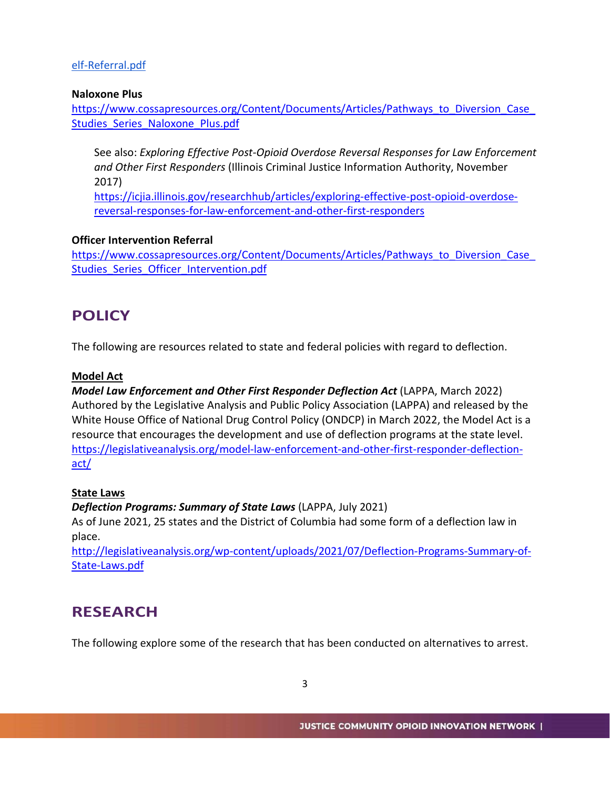### [elf-Referral.pdf](https://www.cossapresources.org/Content/Documents/Articles/CHJ_Pathways_to_Diversion_Self-Referral.pdf)

#### **Naloxone Plus**

[https://www.cossapresources.org/Content/Documents/Articles/Pathways\\_to\\_Diversion\\_Case\\_](https://www.cossapresources.org/Content/Documents/Articles/Pathways_to_Diversion_Case_Studies_Series_Naloxone_Plus.pdf) Studies Series Naloxone Plus.pdf

See also: *Exploring Effective Post-Opioid Overdose Reversal Responses for Law Enforcement and Other First Responders* (Illinois Criminal Justice Information Authority, November 2017)

[https://icjia.illinois.gov/researchhub/articles/exploring-effective-post-opioid-overdose](https://icjia.illinois.gov/researchhub/articles/exploring-effective-post-opioid-overdose-reversal-responses-for-law-enforcement-and-other-first-responders)[reversal-responses-for-law-enforcement-and-other-first-responders](https://icjia.illinois.gov/researchhub/articles/exploring-effective-post-opioid-overdose-reversal-responses-for-law-enforcement-and-other-first-responders)

#### **Officer Intervention Referral**

https://www.cossapresources.org/Content/Documents/Articles/Pathways\_to\_Diversion\_Case Studies Series Officer Intervention.pdf

# **POLICY**

The following are resources related to state and federal policies with regard to deflection.

#### **Model Act**

*Model Law Enforcement and Other First Responder Deflection Act* (LAPPA, March 2022) Authored by the Legislative Analysis and Public Policy Association (LAPPA) and released by the White House Office of National Drug Control Policy (ONDCP) in March 2022, the Model Act is a resource that encourages the development and use of deflection programs at the state level. [https://legislativeanalysis.org/model-law-enforcement-and-other-first-responder-deflection](https://legislativeanalysis.org/model-law-enforcement-and-other-first-responder-deflection-act/)[act/](https://legislativeanalysis.org/model-law-enforcement-and-other-first-responder-deflection-act/)

#### **State Laws**

#### *Deflection Programs: Summary of State Laws* (LAPPA, July 2021)

As of June 2021, 25 states and the District of Columbia had some form of a deflection law in place.

[http://legislativeanalysis.org/wp-content/uploads/2021/07/Deflection-Programs-Summary-of-](http://legislativeanalysis.org/wp-content/uploads/2021/07/Deflection-Programs-Summary-of-State-Laws.pdf)[State-Laws.pdf](http://legislativeanalysis.org/wp-content/uploads/2021/07/Deflection-Programs-Summary-of-State-Laws.pdf)

# **RESEARCH**

The following explore some of the research that has been conducted on alternatives to arrest.